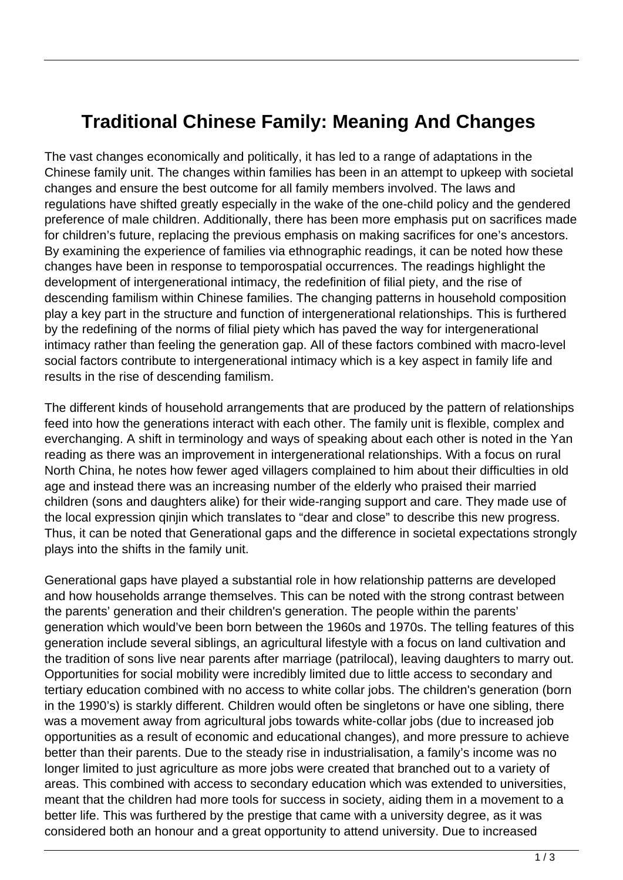## **Traditional Chinese Family: Meaning And Changes**

The vast changes economically and politically, it has led to a range of adaptations in the Chinese family unit. The changes within families has been in an attempt to upkeep with societal changes and ensure the best outcome for all family members involved. The laws and regulations have shifted greatly especially in the wake of the one-child policy and the gendered preference of male children. Additionally, there has been more emphasis put on sacrifices made for children's future, replacing the previous emphasis on making sacrifices for one's ancestors. By examining the experience of families via ethnographic readings, it can be noted how these changes have been in response to temporospatial occurrences. The readings highlight the development of intergenerational intimacy, the redefinition of filial piety, and the rise of descending familism within Chinese families. The changing patterns in household composition play a key part in the structure and function of intergenerational relationships. This is furthered by the redefining of the norms of filial piety which has paved the way for intergenerational intimacy rather than feeling the generation gap. All of these factors combined with macro-level social factors contribute to intergenerational intimacy which is a key aspect in family life and results in the rise of descending familism.

The different kinds of household arrangements that are produced by the pattern of relationships feed into how the generations interact with each other. The family unit is flexible, complex and everchanging. A shift in terminology and ways of speaking about each other is noted in the Yan reading as there was an improvement in intergenerational relationships. With a focus on rural North China, he notes how fewer aged villagers complained to him about their difficulties in old age and instead there was an increasing number of the elderly who praised their married children (sons and daughters alike) for their wide-ranging support and care. They made use of the local expression qinjin which translates to "dear and close" to describe this new progress. Thus, it can be noted that Generational gaps and the difference in societal expectations strongly plays into the shifts in the family unit.

Generational gaps have played a substantial role in how relationship patterns are developed and how households arrange themselves. This can be noted with the strong contrast between the parents' generation and their children's generation. The people within the parents' generation which would've been born between the 1960s and 1970s. The telling features of this generation include several siblings, an agricultural lifestyle with a focus on land cultivation and the tradition of sons live near parents after marriage (patrilocal), leaving daughters to marry out. Opportunities for social mobility were incredibly limited due to little access to secondary and tertiary education combined with no access to white collar jobs. The children's generation (born in the 1990's) is starkly different. Children would often be singletons or have one sibling, there was a movement away from agricultural jobs towards white-collar jobs (due to increased job opportunities as a result of economic and educational changes), and more pressure to achieve better than their parents. Due to the steady rise in industrialisation, a family's income was no longer limited to just agriculture as more jobs were created that branched out to a variety of areas. This combined with access to secondary education which was extended to universities, meant that the children had more tools for success in society, aiding them in a movement to a better life. This was furthered by the prestige that came with a university degree, as it was considered both an honour and a great opportunity to attend university. Due to increased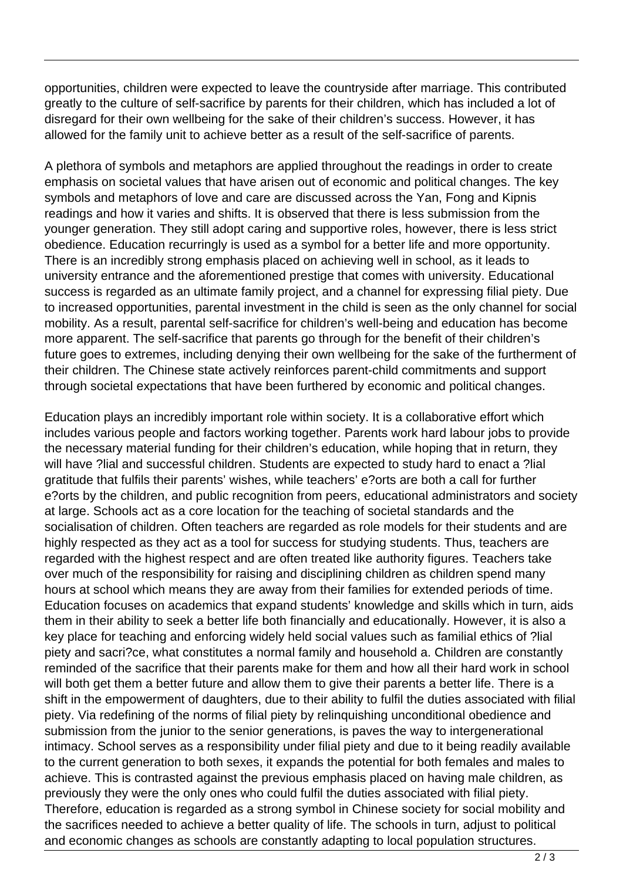opportunities, children were expected to leave the countryside after marriage. This contributed greatly to the culture of self-sacrifice by parents for their children, which has included a lot of disregard for their own wellbeing for the sake of their children's success. However, it has allowed for the family unit to achieve better as a result of the self-sacrifice of parents.

A plethora of symbols and metaphors are applied throughout the readings in order to create emphasis on societal values that have arisen out of economic and political changes. The key symbols and metaphors of love and care are discussed across the Yan, Fong and Kipnis readings and how it varies and shifts. It is observed that there is less submission from the younger generation. They still adopt caring and supportive roles, however, there is less strict obedience. Education recurringly is used as a symbol for a better life and more opportunity. There is an incredibly strong emphasis placed on achieving well in school, as it leads to university entrance and the aforementioned prestige that comes with university. Educational success is regarded as an ultimate family project, and a channel for expressing filial piety. Due to increased opportunities, parental investment in the child is seen as the only channel for social mobility. As a result, parental self-sacrifice for children's well-being and education has become more apparent. The self-sacrifice that parents go through for the benefit of their children's future goes to extremes, including denying their own wellbeing for the sake of the furtherment of their children. The Chinese state actively reinforces parent-child commitments and support through societal expectations that have been furthered by economic and political changes.

Education plays an incredibly important role within society. It is a collaborative effort which includes various people and factors working together. Parents work hard labour jobs to provide the necessary material funding for their children's education, while hoping that in return, they will have ?lial and successful children. Students are expected to study hard to enact a ?lial gratitude that fulfils their parents' wishes, while teachers' e?orts are both a call for further e?orts by the children, and public recognition from peers, educational administrators and society at large. Schools act as a core location for the teaching of societal standards and the socialisation of children. Often teachers are regarded as role models for their students and are highly respected as they act as a tool for success for studying students. Thus, teachers are regarded with the highest respect and are often treated like authority figures. Teachers take over much of the responsibility for raising and disciplining children as children spend many hours at school which means they are away from their families for extended periods of time. Education focuses on academics that expand students' knowledge and skills which in turn, aids them in their ability to seek a better life both financially and educationally. However, it is also a key place for teaching and enforcing widely held social values such as familial ethics of ?lial piety and sacri?ce, what constitutes a normal family and household a. Children are constantly reminded of the sacrifice that their parents make for them and how all their hard work in school will both get them a better future and allow them to give their parents a better life. There is a shift in the empowerment of daughters, due to their ability to fulfil the duties associated with filial piety. Via redefining of the norms of filial piety by relinquishing unconditional obedience and submission from the junior to the senior generations, is paves the way to intergenerational intimacy. School serves as a responsibility under filial piety and due to it being readily available to the current generation to both sexes, it expands the potential for both females and males to achieve. This is contrasted against the previous emphasis placed on having male children, as previously they were the only ones who could fulfil the duties associated with filial piety. Therefore, education is regarded as a strong symbol in Chinese society for social mobility and the sacrifices needed to achieve a better quality of life. The schools in turn, adjust to political and economic changes as schools are constantly adapting to local population structures.